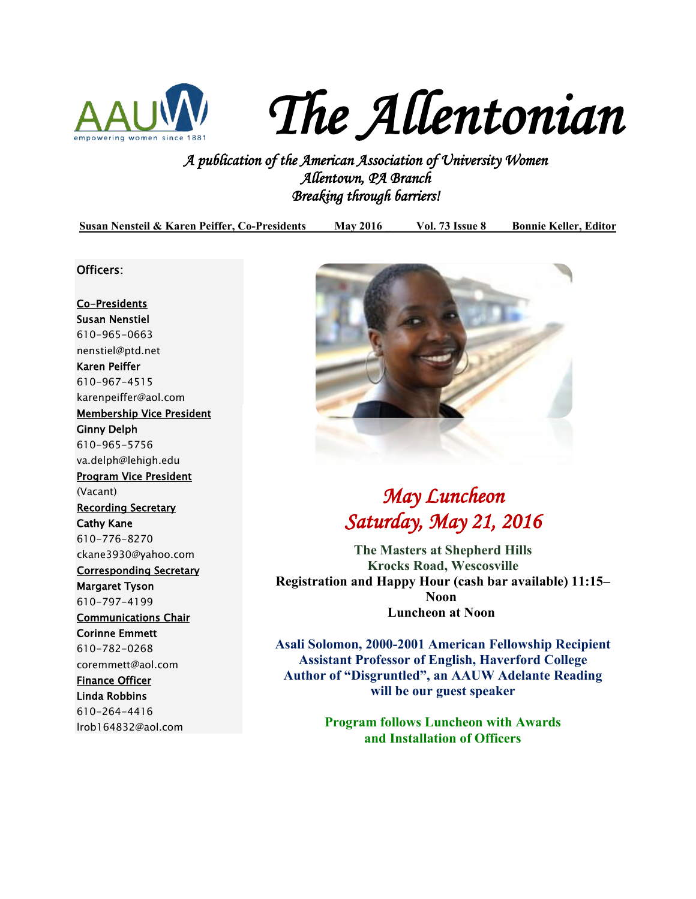

*The Allentonian* 

*A publication of the American Association of University Women Allentown, PA Branch Breaking through barriers!* 

**Susan Nensteil & Karen Peiffer, Co-Presidents May 2016 \_ Vol. 73 Issue 8 Bonnie Keller, Editor**

### Officers:

Co-Presidents Susan Nenstiel 610-965-0663 [nenstiel@ptd.net](mailto:nenstiel@ptd.net) Karen Peiffer 610-967-4515 [karenpeiffer@aol.com](mailto:karenpeiffer@aol.com) Membership Vice President Ginny Delph 610-965-5756 va.delph@lehigh.edu Program Vice President (Vacant) Recording Secretary Cathy Kane 610-776-8270 [ckane3930@yahoo.com](mailto:ckane3930@yahoo.com)  Corresponding Secretary Margaret Tyson 610-797-4199 Communications Chair Corinne Emmett 610-782-0268 coremmett@aol.com Finance Officer Linda Robbins 610-264-4416 lrob164832@aol.com



## *May Luncheon Saturday, May 21, 2016*

**The Masters at Shepherd Hills Krocks Road, Wescosville Registration and Happy Hour (cash bar available) 11:15– Noon Luncheon at Noon** 

**Asali Solomon, 2000-2001 American Fellowship Recipient Assistant Professor of English, Haverford College Author of "Disgruntled", an AAUW Adelante Reading will be our guest speaker** 

> **Program follows Luncheon with Awards and Installation of Officers**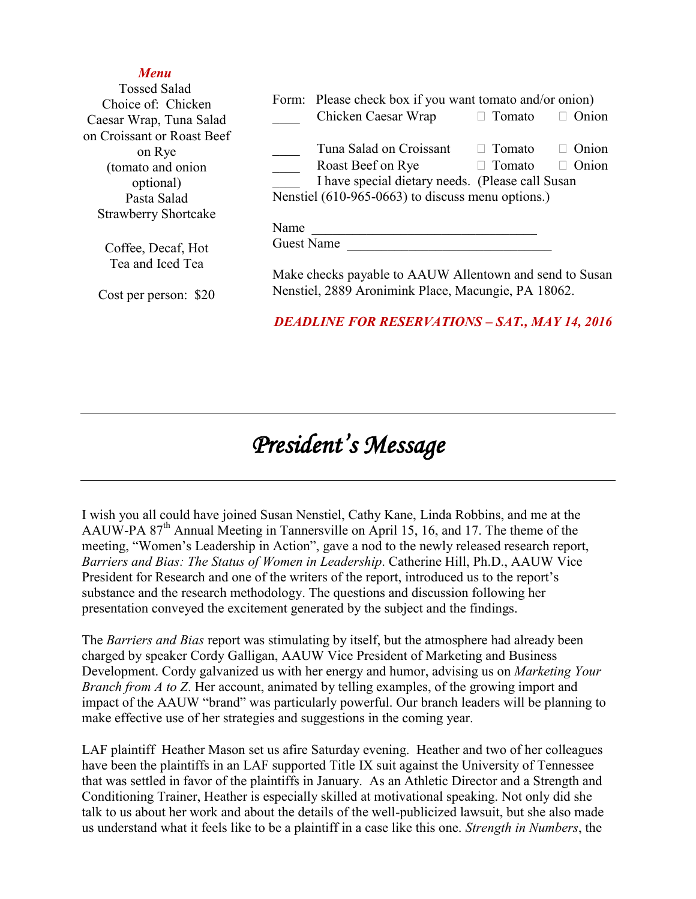### *Menu*

| <b>Tossed Salad</b><br>Choice of: Chicken                                             |                                                                                      | Form: Please check box if you want tomato and/or onion)                                                                                               |                                |                                 |
|---------------------------------------------------------------------------------------|--------------------------------------------------------------------------------------|-------------------------------------------------------------------------------------------------------------------------------------------------------|--------------------------------|---------------------------------|
| Caesar Wrap, Tuna Salad                                                               |                                                                                      | Chicken Caesar Wrap                                                                                                                                   | $\Box$ Tomato                  | Onion                           |
| on Croissant or Roast Beef<br>on Rye<br>(tomato and onion<br>optional)<br>Pasta Salad |                                                                                      | Tuna Salad on Croissant<br>Roast Beef on Rye<br>I have special dietary needs. (Please call Susan<br>Nenstiel (610-965-0663) to discuss menu options.) | $\Box$ Tomato<br>$\Box$ Tomato | Onion<br>$\Box$<br>$\Box$ Onion |
| <b>Strawberry Shortcake</b>                                                           |                                                                                      |                                                                                                                                                       |                                |                                 |
| Coffee, Decaf, Hot<br>Tea and Iced Tea                                                | Name<br><b>Guest Name</b><br>Make checks payable to AAUW Allentown and send to Susan |                                                                                                                                                       |                                |                                 |
| Cost per person: \$20                                                                 | Nenstiel, 2889 Aronimink Place, Macungie, PA 18062.                                  |                                                                                                                                                       |                                |                                 |
|                                                                                       |                                                                                      | <b>DEADLINE FOR RESERVATIONS - SAT., MAY 14, 2016</b>                                                                                                 |                                |                                 |

# *President's Message*

I wish you all could have joined Susan Nenstiel, Cathy Kane, Linda Robbins, and me at the AAUW-PA 87<sup>th</sup> Annual Meeting in Tannersville on April 15, 16, and 17. The theme of the meeting, "Women's Leadership in Action", gave a nod to the newly released research report, *Barriers and Bias: The Status of Women in Leadership*. Catherine Hill, Ph.D., AAUW Vice President for Research and one of the writers of the report, introduced us to the report's substance and the research methodology. The questions and discussion following her presentation conveyed the excitement generated by the subject and the findings.

The *Barriers and Bias* report was stimulating by itself, but the atmosphere had already been charged by speaker Cordy Galligan, AAUW Vice President of Marketing and Business Development. Cordy galvanized us with her energy and humor, advising us on *Marketing Your Branch from A to Z*. Her account, animated by telling examples, of the growing import and impact of the AAUW "brand" was particularly powerful. Our branch leaders will be planning to make effective use of her strategies and suggestions in the coming year.

LAF plaintiff Heather Mason set us afire Saturday evening. Heather and two of her colleagues have been the plaintiffs in an LAF supported Title IX suit against the University of Tennessee that was settled in favor of the plaintiffs in January. As an Athletic Director and a Strength and Conditioning Trainer, Heather is especially skilled at motivational speaking. Not only did she talk to us about her work and about the details of the well-publicized lawsuit, but she also made us understand what it feels like to be a plaintiff in a case like this one. *Strength in Numbers*, the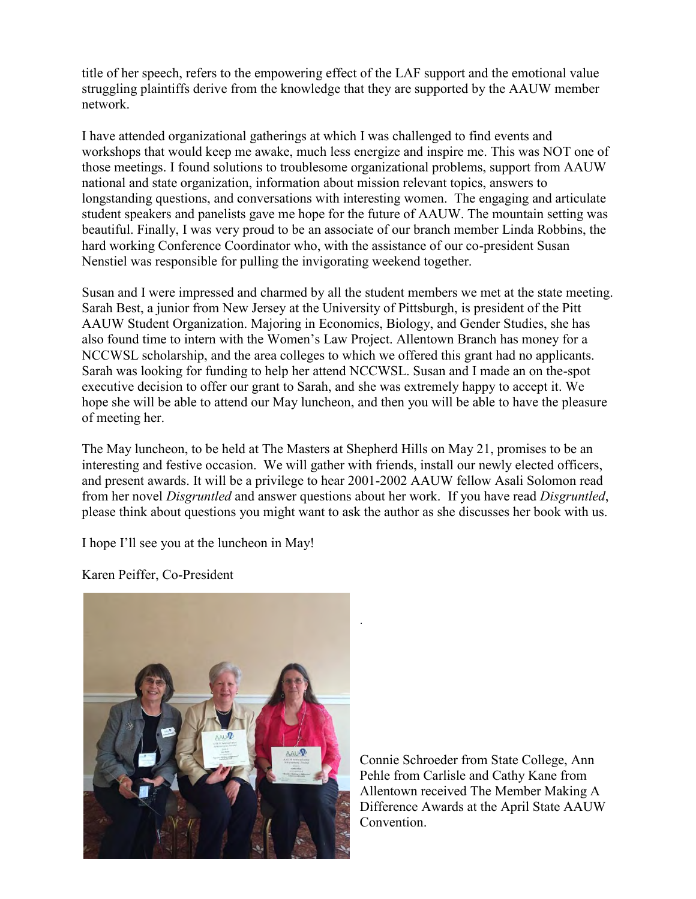title of her speech, refers to the empowering effect of the LAF support and the emotional value struggling plaintiffs derive from the knowledge that they are supported by the AAUW member network.

I have attended organizational gatherings at which I was challenged to find events and workshops that would keep me awake, much less energize and inspire me. This was NOT one of those meetings. I found solutions to troublesome organizational problems, support from AAUW national and state organization, information about mission relevant topics, answers to longstanding questions, and conversations with interesting women. The engaging and articulate student speakers and panelists gave me hope for the future of AAUW. The mountain setting was beautiful. Finally, I was very proud to be an associate of our branch member Linda Robbins, the hard working Conference Coordinator who, with the assistance of our co-president Susan Nenstiel was responsible for pulling the invigorating weekend together.

Susan and I were impressed and charmed by all the student members we met at the state meeting. Sarah Best, a junior from New Jersey at the University of Pittsburgh, is president of the Pitt AAUW Student Organization. Majoring in Economics, Biology, and Gender Studies, she has also found time to intern with the Women's Law Project. Allentown Branch has money for a NCCWSL scholarship, and the area colleges to which we offered this grant had no applicants. Sarah was looking for funding to help her attend NCCWSL. Susan and I made an on the-spot executive decision to offer our grant to Sarah, and she was extremely happy to accept it. We hope she will be able to attend our May luncheon, and then you will be able to have the pleasure of meeting her.

The May luncheon, to be held at The Masters at Shepherd Hills on May 21, promises to be an interesting and festive occasion. We will gather with friends, install our newly elected officers, and present awards. It will be a privilege to hear 2001-2002 AAUW fellow Asali Solomon read from her novel *Disgruntled* and answer questions about her work. If you have read *Disgruntled*, please think about questions you might want to ask the author as she discusses her book with us.

.

I hope I'll see you at the luncheon in May!

Karen Peiffer, Co-President

Connie Schroeder from State College, Ann Pehle from Carlisle and Cathy Kane from Allentown received The Member Making A Difference Awards at the April State AAUW Convention.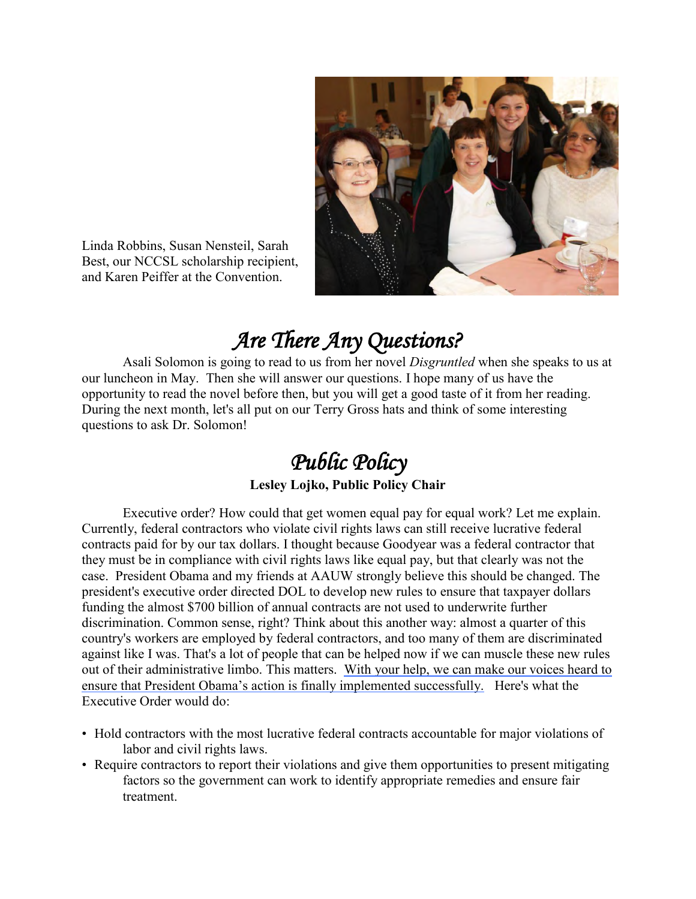

Linda Robbins, Susan Nensteil, Sarah Best, our NCCSL scholarship recipient, and Karen Peiffer at the Convention.

# *Are There Any Questions?*

Asali Solomon is going to read to us from her novel *Disgruntled* when she speaks to us at our luncheon in May. Then she will answer our questions. I hope many of us have the opportunity to read the novel before then, but you will get a good taste of it from her reading. During the next month, let's all put on our Terry Gross hats and think of some interesting questions to ask Dr. Solomon!

# *Public Policy*

## **Lesley Lojko, Public Policy Chair**

Executive order? How could that get women equal pay for equal work? Let me explain. Currently, federal contractors who violate civil rights laws can still receive lucrative federal contracts paid for by our tax dollars. I thought because Goodyear was a federal contractor that they must be in compliance with civil rights laws like equal pay, but that clearly was not the case. President Obama and my friends at AAUW strongly believe this should be changed. The president's executive order directed DOL to develop new rules to ensure that taxpayer dollars funding the almost \$700 billion of annual contracts are not used to underwrite further discrimination. Common sense, right? Think about this another way: almost a quarter of this country's workers are employed by federal contractors, and too many of them are discriminated against like I was. That's a lot of people that can be helped now if we can muscle these new rules out of their administrative limbo. This matters. [With your help, we can make our voices heard to](http://salsa4.salsalabs.com/dia/track.jsp?v=2&c=z1sKCbcOTg2KUqhfZWzlHmhQXMUMCBW2)  [ensure that President Obama's action is finally implemented successfully.](http://salsa4.salsalabs.com/dia/track.jsp?v=2&c=z1sKCbcOTg2KUqhfZWzlHmhQXMUMCBW2) Here's what the Executive Order would do:

- Hold contractors with the most lucrative federal contracts accountable for major violations of labor and civil rights laws.
- Require contractors to report their violations and give them opportunities to present mitigating factors so the government can work to identify appropriate remedies and ensure fair treatment.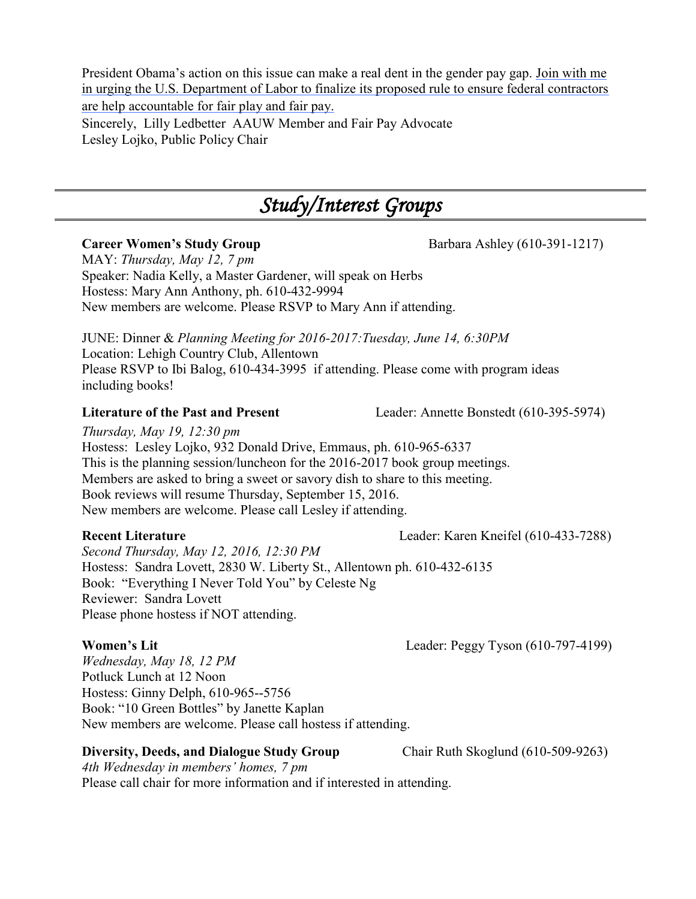President Obama's action on this issue can make a real dent in the gender pay gap. [Join with me](http://salsa4.salsalabs.com/dia/track.jsp?v=2&c=Pkra7sBxB%2Bn1lkRUF8omFWhQXMUMCBW2)  [in urging the U.S. Department of Labor to finalize its proposed rule to ensure federal contractors](http://salsa4.salsalabs.com/dia/track.jsp?v=2&c=Pkra7sBxB%2Bn1lkRUF8omFWhQXMUMCBW2)  [are help accountable for fair play and fair pay.](http://salsa4.salsalabs.com/dia/track.jsp?v=2&c=Pkra7sBxB%2Bn1lkRUF8omFWhQXMUMCBW2) Sincerely, Lilly Ledbetter AAUW Member and Fair Pay Advocate Lesley Lojko, Public Policy Chair

## *Study/Interest Groups*

MAY: *Thursday, May 12, 7 pm*  Speaker: Nadia Kelly, a Master Gardener, will speak on Herbs Hostess: Mary Ann Anthony, ph. 610-432-9994 New members are welcome. Please RSVP to Mary Ann if attending.

JUNE: Dinner & *Planning Meeting for 2016-2017:Tuesday, June 14, 6:30PM*  Location: Lehigh Country Club, Allentown Please RSVP to Ibi Balog, 610-434-3995 if attending. Please come with program ideas including books!

**Literature of the Past and Present** Leader: Annette Bonstedt (610-395-5974)

*Thursday, May 19, 12:30 pm* 

Hostess: Lesley Lojko, 932 Donald Drive, Emmaus, ph. 610-965-6337 This is the planning session/luncheon for the 2016-2017 book group meetings. Members are asked to bring a sweet or savory dish to share to this meeting. Book reviews will resume Thursday, September 15, 2016. New members are welcome. Please call Lesley if attending.

**Recent Literature** Leader: Karen Kneifel (610-433-7288)

*Second Thursday, May 12, 2016, 12:30 PM*  Hostess: Sandra Lovett, 2830 W. Liberty St., Allentown ph. 610-432-6135 Book: "Everything I Never Told You" by Celeste Ng Reviewer: Sandra Lovett Please phone hostess if NOT attending.

**Women's Lit** Leader: Peggy Tyson (610-797-4199)

*Wednesday, May 18, 12 PM* Potluck Lunch at 12 Noon Hostess: Ginny Delph, 610-965--5756 Book: "10 Green Bottles" by Janette Kaplan New members are welcome. Please call hostess if attending.

## **Diversity, Deeds, and Dialogue Study Group** Chair Ruth Skoglund (610-509-9263)

*4th Wednesday in members' homes, 7 pm*  Please call chair for more information and if interested in attending.

**Career Women's Study Group Barbara Ashley (610-391-1217)**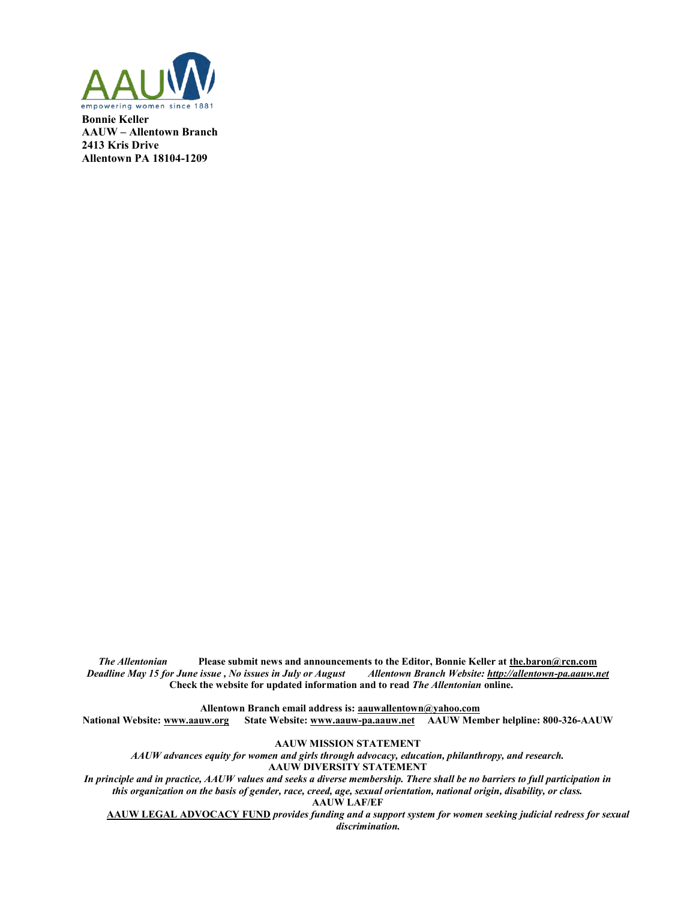

**Bonnie Keller AAUW – Allentown Branch 2413 Kris Drive Allentown PA 18104-1209** 

*The Allentonian* **Please submit news and announcements to the Editor, Bonnie Keller at <u>the.baron@rcn.com</u><br>Falline May 15 for June issue, No issues in July or August Allentown Branch Website: <u>http://allentown-pa.aauw.net**</u> *Deadline May 15 for June issue, No issues in July or August*  **Check the website for updated information and to read** *The Allentonian* **online.** 

**Allentown Branch email address is: [aauwallentown@yahoo.com](mailto:aauwallentown@yahoo.com)**

**National Website: [www.aauw.org](http://www.aauw.org/) State Website: www.aauw-pa.aauw.net AAUW Member helpline: 800-326-AAUW**

**AAUW MISSION STATEMENT**

*AAUW advances equity for women and girls through advocacy, education, philanthropy, and research.*

**AAUW DIVERSITY STATEMENT**

*In principle and in practice, AAUW values and seeks a diverse membership. There shall be no barriers to full participation in this organization on the basis of gender, race, creed, age, sexual orientation, national origin, disability, or class.*

**AAUW LAF/EF**

**AAUW LEGAL ADVOCACY FUND** *provides funding and a support system for women seeking judicial redress for sexual discrimination.*